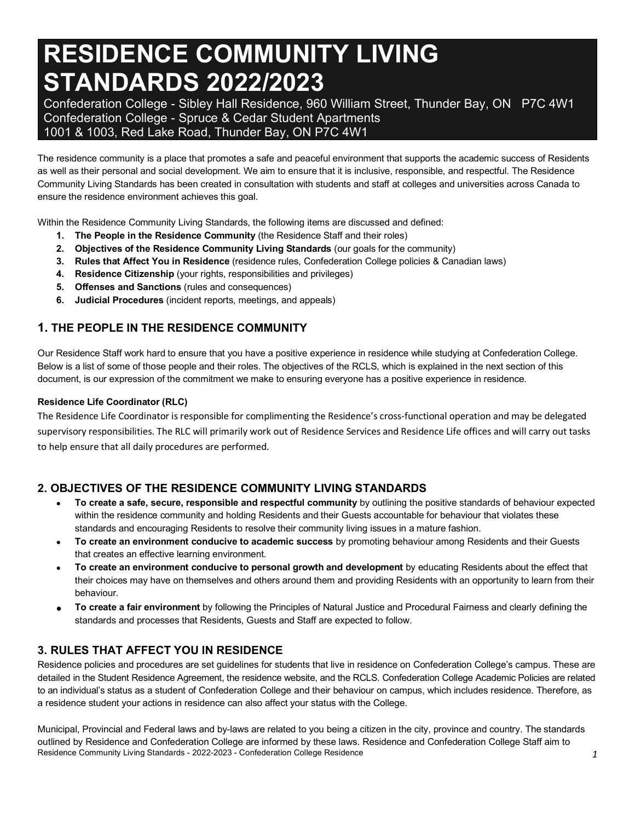# **RESIDENCE COMMUNITY LIVING STANDARDS 2022/2023**

 Confederation College - Sibley Hall Residence, 960 William Street, Thunder Bay, ON P7C 4W1 Confederation College - Spruce & Cedar Student Apartments 1001 & 1003, Red Lake Road, Thunder Bay, ON P7C 4W1

 The residence community is a place that promotes a safe and peaceful environment that supports the academic success of Residents as well as their personal and social development. We aim to ensure that it is inclusive, responsible, and respectful. The Residence Community Living Standards has been created in consultation with students and staff at colleges and universities across Canada to ensure the residence environment achieves this goal.

Within the Residence Community Living Standards, the following items are discussed and defined:

- **1. The People in the Residence Community** (the Residence Staff and their roles)
- **2. Objectives of the Residence Community Living Standards** (our goals for the community)
- **3. Rules that Affect You in Residence** (residence rules, Confederation College policies & Canadian laws)
- **4. Residence Citizenship** (your rights, responsibilities and privileges)
- **5. Offenses and Sanctions** (rules and consequences)
- **6. Judicial Procedures** (incident reports, meetings, and appeals)

# **1. THE PEOPLE IN THE RESIDENCE COMMUNITY**

 Our Residence Staff work hard to ensure that you have a positive experience in residence while studying at Confederation College. Below is a list of some of those people and their roles. The objectives of the RCLS, which is explained in the next section of this document, is our expression of the commitment we make to ensuring everyone has a positive experience in residence.

# **Residence Life Coordinator (RLC)**

 The Residence Life Coordinator is responsible for complimenting the Residence's cross-functional operation and may be delegated supervisory responsibilities. The RLC will primarily work out of Residence Services and Residence Life offices and will carry out tasks to help ensure that all daily procedures are performed.

# **2. OBJECTIVES OF THE RESIDENCE COMMUNITY LIVING STANDARDS**

- **To create a safe, secure, responsible and respectful community** by outlining the positive standards of behaviour expected within the residence community and holding Residents and their Guests accountable for behaviour that violates these standards and encouraging Residents to resolve their community living issues in a mature fashion.
- **To create an environment conducive to academic success** by promoting behaviour among Residents and their Guests that creates an effective learning environment.
- **To create an environment conducive to personal growth and development** by educating Residents about the effect that their choices may have on themselves and others around them and providing Residents with an opportunity to learn from their behaviour.
- **To create a fair environment** by following the Principles of Natural Justice and Procedural Fairness and clearly defining the standards and processes that Residents, Guests and Staff are expected to follow.

# **3. RULES THAT AFFECT YOU IN RESIDENCE**

 Residence policies and procedures are set guidelines for students that live in residence on Confederation College's campus. These are detailed in the Student Residence Agreement, the residence website, and the RCLS. Confederation College Academic Policies are related to an individual's status as a student of Confederation College and their behaviour on campus, which includes residence. Therefore, as a residence student your actions in residence can also affect your status with the College.

 Residence Community Living Standards - 2022-2023 - Confederation College Residence *1*  Municipal, Provincial and Federal laws and by-laws are related to you being a citizen in the city, province and country. The standards outlined by Residence and Confederation College are informed by these laws. Residence and Confederation College Staff aim to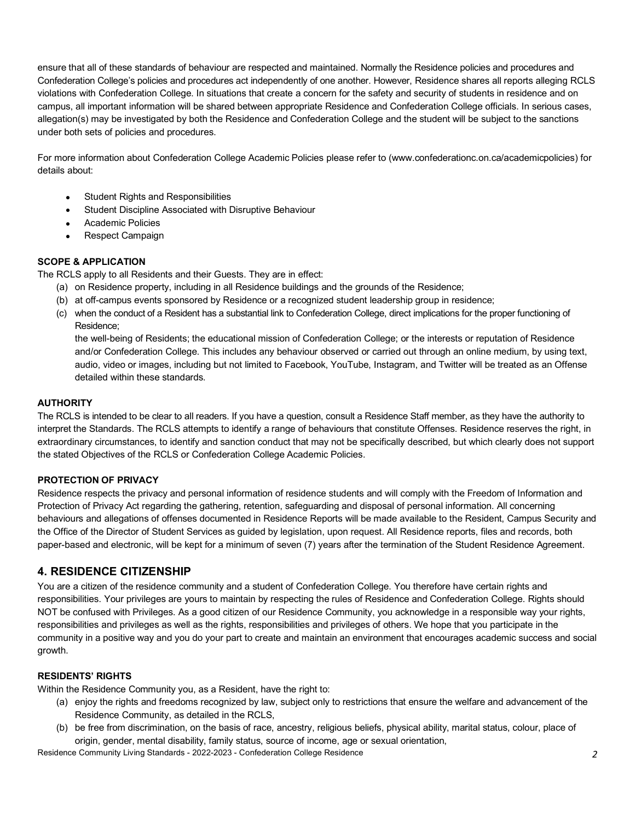ensure that all of these standards of behaviour are respected and maintained. Normally the Residence policies and procedures and Confederation College's policies and procedures act independently of one another. However, Residence shares all reports alleging RCLS violations with Confederation College. In situations that create a concern for the safety and security of students in residence and on campus, all important information will be shared between appropriate Residence and Confederation College officials. In serious cases, allegation(s) may be investigated by both the Residence and Confederation College and the student will be subject to the sanctions under both sets of policies and procedures.

 For more information about Confederation College Academic Policies please refer to (<www.confederationc.on.ca/academicpolicies>) for details about:

- Student Rights and Responsibilities
- Student Discipline Associated with Disruptive Behaviour
- Academic Policies
- Respect Campaign

# **SCOPE & APPLICATION**

The RCLS apply to all Residents and their Guests. They are in effect:

- (a) on Residence property, including in all Residence buildings and the grounds of the Residence;
- (b) at off-campus events sponsored by Residence or a recognized student leadership group in residence;
- (c) when the conduct of a Resident has a substantial link to Confederation College, direct implications for the proper functioning of Residence;

 the well-being of Residents; the educational mission of Confederation College; or the interests or reputation of Residence and/or Confederation College. This includes any behaviour observed or carried out through an online medium, by using text, audio, video or images, including but not limited to Facebook, YouTube, Instagram, and Twitter will be treated as an Offense detailed within these standards.

#### **AUTHORITY**

 The RCLS is intended to be clear to all readers. If you have a question, consult a Residence Staff member, as they have the authority to interpret the Standards. The RCLS attempts to identify a range of behaviours that constitute Offenses. Residence reserves the right, in extraordinary circumstances, to identify and sanction conduct that may not be specifically described, but which clearly does not support the stated Objectives of the RCLS or Confederation College Academic Policies.

#### **PROTECTION OF PRIVACY**

 Residence respects the privacy and personal information of residence students and will comply with the Freedom of Information and Protection of Privacy Act regarding the gathering, retention, safeguarding and disposal of personal information. All concerning behaviours and allegations of offenses documented in Residence Reports will be made available to the Resident, Campus Security and the Office of the Director of Student Services as guided by legislation, upon request. All Residence reports, files and records, both paper-based and electronic, will be kept for a minimum of seven (7) years after the termination of the Student Residence Agreement.

# **4. RESIDENCE CITIZENSHIP**

 You are a citizen of the residence community and a student of Confederation College. You therefore have certain rights and responsibilities. Your privileges are yours to maintain by respecting the rules of Residence and Confederation College. Rights should NOT be confused with Privileges. As a good citizen of our Residence Community, you acknowledge in a responsible way your rights, responsibilities and privileges as well as the rights, responsibilities and privileges of others. We hope that you participate in the community in a positive way and you do your part to create and maintain an environment that encourages academic success and social growth.

#### **RESIDENTS' RIGHTS**

Within the Residence Community you, as a Resident, have the right to:

- (a) enjoy the rights and freedoms recognized by law, subject only to restrictions that ensure the welfare and advancement of the Residence Community, as detailed in the RCLS,
- (b) be free from discrimination, on the basis of race, ancestry, religious beliefs, physical ability, marital status, colour, place of origin, gender, mental disability, family status, source of income, age or sexual orientation,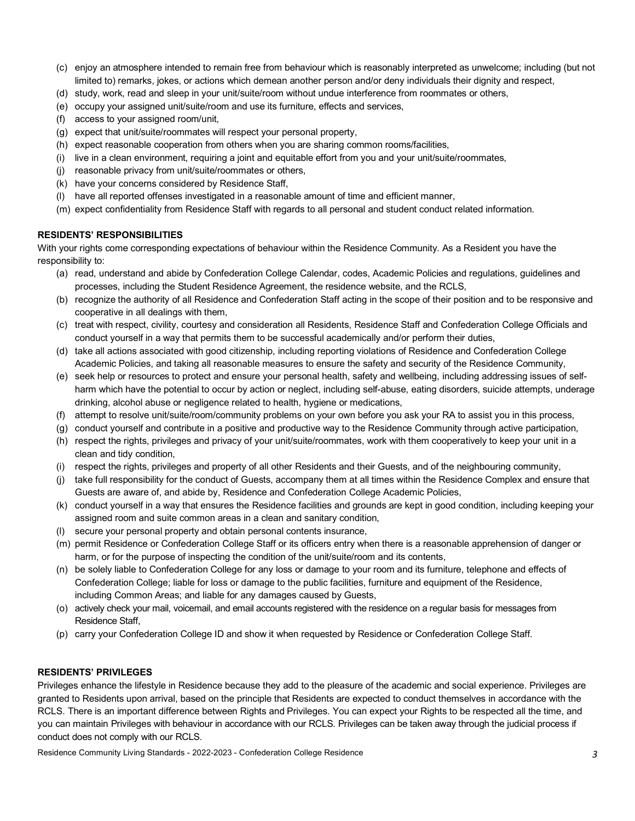- (c) enjoy an atmosphere intended to remain free from behaviour which is reasonably interpreted as unwelcome; including (but not limited to) remarks, jokes, or actions which demean another person and/or deny individuals their dignity and respect,
- (d) study, work, read and sleep in your unit/suite/room without undue interference from roommates or others,
- (e) occupy your assigned unit/suite/room and use its furniture, effects and services,
- (f) access to your assigned room/unit,
- (g) expect that unit/suite/roommates will respect your personal property,
- (h) expect reasonable cooperation from others when you are sharing common rooms/facilities,
- (i) live in a clean environment, requiring a joint and equitable effort from you and your unit/suite/roommates,
- (j) reasonable privacy from unit/suite/roommates or others,
- (k) have your concerns considered by Residence Staff,
- (l) have all reported offenses investigated in a reasonable amount of time and efficient manner,
- (m) expect confidentiality from Residence Staff with regards to all personal and student conduct related information.

#### **RESIDENTS' RESPONSIBILITIES**

 With your rights come corresponding expectations of behaviour within the Residence Community. As a Resident you have the responsibility to:

- (a) read, understand and abide by Confederation College Calendar, codes, Academic Policies and regulations, guidelines and processes, including the Student Residence Agreement, the residence website, and the RCLS,
- (b) recognize the authority of all Residence and Confederation Staff acting in the scope of their position and to be responsive and cooperative in all dealings with them,
- (c) treat with respect, civility, courtesy and consideration all Residents, Residence Staff and Confederation College Officials and conduct yourself in a way that permits them to be successful academically and/or perform their duties,
- (d) take all actions associated with good citizenship, including reporting violations of Residence and Confederation College Academic Policies, and taking all reasonable measures to ensure the safety and security of the Residence Community,
- (e) seek help or resources to protect and ensure your personal health, safety and wellbeing, including addressing issues of self- harm which have the potential to occur by action or neglect, including self-abuse, eating disorders, suicide attempts, underage drinking, alcohol abuse or negligence related to health, hygiene or medications,
- (f) attempt to resolve unit/suite/room/community problems on your own before you ask your RA to assist you in this process,
- (g) conduct yourself and contribute in a positive and productive way to the Residence Community through active participation,
- (h) respect the rights, privileges and privacy of your unit/suite/roommates, work with them cooperatively to keep your unit in a clean and tidy condition,
- (i) respect the rights, privileges and property of all other Residents and their Guests, and of the neighbouring community,
- (j) take full responsibility for the conduct of Guests, accompany them at all times within the Residence Complex and ensure that Guests are aware of, and abide by, Residence and Confederation College Academic Policies,
- (k) conduct yourself in a way that ensures the Residence facilities and grounds are kept in good condition, including keeping your assigned room and suite common areas in a clean and sanitary condition,
- (l) secure your personal property and obtain personal contents insurance,
- (m) permit Residence or Confederation College Staff or its officers entry when there is a reasonable apprehension of danger or harm, or for the purpose of inspecting the condition of the unit/suite/room and its contents,
- (n) be solely liable to Confederation College for any loss or damage to your room and its furniture, telephone and effects of Confederation College; liable for loss or damage to the public facilities, furniture and equipment of the Residence, including Common Areas; and liable for any damages caused by Guests,
- (o) actively check your mail, voicemail, and email accounts registered with the residence on a regular basis for messages from Residence Staff,
- (p) carry your Confederation College ID and show it when requested by Residence or Confederation College Staff.

#### **RESIDENTS' PRIVILEGES**

 Privileges enhance the lifestyle in Residence because they add to the pleasure of the academic and social experience. Privileges are granted to Residents upon arrival, based on the principle that Residents are expected to conduct themselves in accordance with the RCLS. There is an important difference between Rights and Privileges. You can expect your Rights to be respected all the time, and you can maintain Privileges with behaviour in accordance with our RCLS. Privileges can be taken away through the judicial process if conduct does not comply with our RCLS.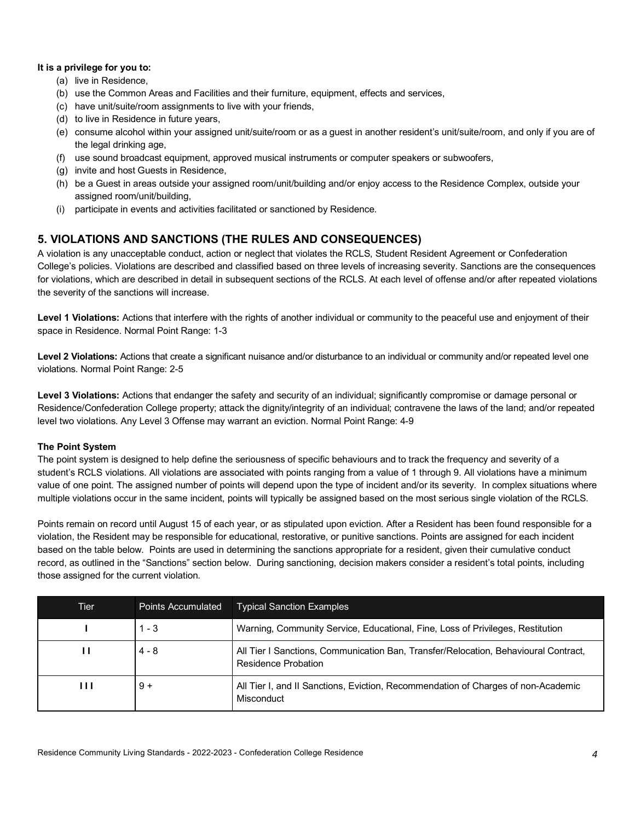#### **It is a privilege for you to:**

- (a) live in Residence,
- (b) use the Common Areas and Facilities and their furniture, equipment, effects and services,
- (c) have unit/suite/room assignments to live with your friends,
- (d) to live in Residence in future years,
- (e) consume alcohol within your assigned unit/suite/room or as a guest in another resident's unit/suite/room, and only if you are of the legal drinking age,
- (f) use sound broadcast equipment, approved musical instruments or computer speakers or subwoofers,
- (g) invite and host Guests in Residence,
- (h) be a Guest in areas outside your assigned room/unit/building and/or enjoy access to the Residence Complex, outside your assigned room/unit/building,
- (i) participate in events and activities facilitated or sanctioned by Residence.

# **5. VIOLATIONS AND SANCTIONS (THE RULES AND CONSEQUENCES)**

 A violation is any unacceptable conduct, action or neglect that violates the RCLS, Student Resident Agreement or Confederation College's policies. Violations are described and classified based on three levels of increasing severity. Sanctions are the consequences for violations, which are described in detail in subsequent sections of the RCLS. At each level of offense and/or after repeated violations the severity of the sanctions will increase.

Level 1 Violations: Actions that interfere with the rights of another individual or community to the peaceful use and enjoyment of their space in Residence. Normal Point Range: 1-3

Level 2 Violations: Actions that create a significant nuisance and/or disturbance to an individual or community and/or repeated level one violations. Normal Point Range: 2-5

Level 3 Violations: Actions that endanger the safety and security of an individual; significantly compromise or damage personal or Residence/Confederation College property; attack the dignity/integrity of an individual; contravene the laws of the land; and/or repeated level two violations. Any Level 3 Offense may warrant an eviction. Normal Point Range: 4-9

#### **The Point System**

 The point system is designed to help define the seriousness of specific behaviours and to track the frequency and severity of a student's RCLS violations. All violations are associated with points ranging from a value of 1 through 9. All violations have a minimum value of one point. The assigned number of points will depend upon the type of incident and/or its severity. In complex situations where multiple violations occur in the same incident, points will typically be assigned based on the most serious single violation of the RCLS.

 Points remain on record until August 15 of each year, or as stipulated upon eviction. After a Resident has been found responsible for a violation, the Resident may be responsible for educational, restorative, or punitive sanctions. Points are assigned for each incident based on the table below. Points are used in determining the sanctions appropriate for a resident, given their cumulative conduct record, as outlined in the "Sanctions" section below. During sanctioning, decision makers consider a resident's total points, including those assigned for the current violation.

| Tier | <b>Points Accumulated</b> | <b>Typical Sanction Examples</b>                                                                           |
|------|---------------------------|------------------------------------------------------------------------------------------------------------|
|      | $1 - 3$                   | Warning, Community Service, Educational, Fine, Loss of Privileges, Restitution                             |
| ш    | $4 - 8$                   | All Tier I Sanctions, Communication Ban, Transfer/Relocation, Behavioural Contract,<br>Residence Probation |
| ш    | $9 +$                     | All Tier I, and II Sanctions, Eviction, Recommendation of Charges of non-Academic<br>Misconduct            |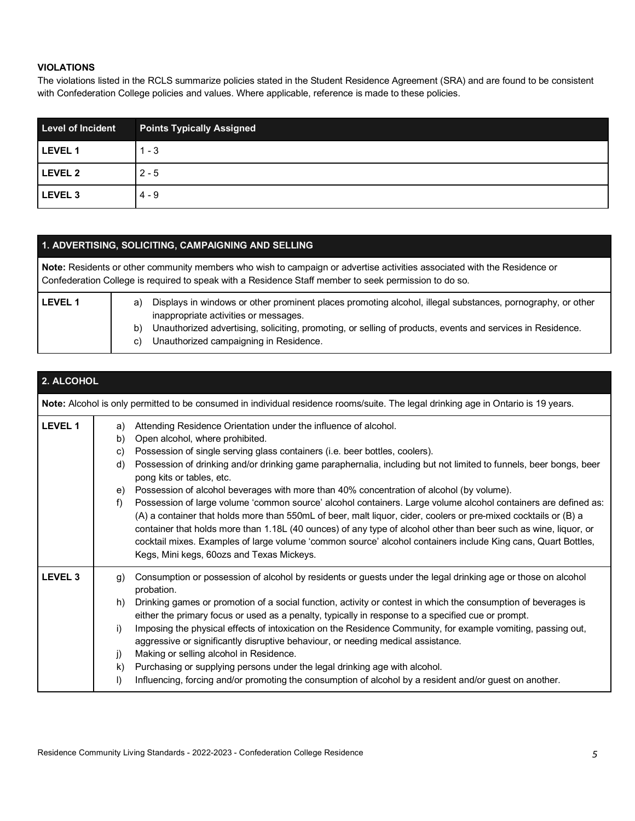# **VIOLATIONS**

 The violations listed in the RCLS summarize policies stated in the Student Residence Agreement (SRA) and are found to be consistent with Confederation College policies and values. Where applicable, reference is made to these policies.

| <b>Level of Incident</b> | <b>Points Typically Assigned</b> |
|--------------------------|----------------------------------|
| <b>LEVEL 1</b>           | $1 - 3$                          |
| <b>LEVEL 2</b>           | $2 - 5$                          |
| <b>LEVEL 3</b>           | $4 - 9$                          |

# **1. ADVERTISING, SOLICITING, CAMPAIGNING AND SELLING**

| Note: Residents or other community members who wish to campaign or advertise activities associated with the Residence or<br>Confederation College is required to speak with a Residence Staff member to seek permission to do so. |          |                                                                                                                                                                                                                                                                   |
|-----------------------------------------------------------------------------------------------------------------------------------------------------------------------------------------------------------------------------------|----------|-------------------------------------------------------------------------------------------------------------------------------------------------------------------------------------------------------------------------------------------------------------------|
| <b>LEVEL 1</b>                                                                                                                                                                                                                    | a)<br>b) | Displays in windows or other prominent places promoting alcohol, illegal substances, pornography, or other<br>inappropriate activities or messages.<br>Unauthorized advertising, soliciting, promoting, or selling of products, events and services in Residence. |
|                                                                                                                                                                                                                                   | C)       | Unauthorized campaigning in Residence.                                                                                                                                                                                                                            |

| 2. ALCOHOL         |                                                                                                                                                                                                                                                                                                                                                                                                                                                                                                                                                                                                                                                                                                                                                                                                                                                                                                                                                                                            |
|--------------------|--------------------------------------------------------------------------------------------------------------------------------------------------------------------------------------------------------------------------------------------------------------------------------------------------------------------------------------------------------------------------------------------------------------------------------------------------------------------------------------------------------------------------------------------------------------------------------------------------------------------------------------------------------------------------------------------------------------------------------------------------------------------------------------------------------------------------------------------------------------------------------------------------------------------------------------------------------------------------------------------|
|                    | Note: Alcohol is only permitted to be consumed in individual residence rooms/suite. The legal drinking age in Ontario is 19 years.                                                                                                                                                                                                                                                                                                                                                                                                                                                                                                                                                                                                                                                                                                                                                                                                                                                         |
| <b>LEVEL 1</b>     | Attending Residence Orientation under the influence of alcohol.<br>a)<br>Open alcohol, where prohibited.<br>b)<br>Possession of single serving glass containers (i.e. beer bottles, coolers).<br>C)<br>Possession of drinking and/or drinking game paraphernalia, including but not limited to funnels, beer bongs, beer<br>d)<br>pong kits or tables, etc.<br>Possession of alcohol beverages with more than 40% concentration of alcohol (by volume).<br>e)<br>Possession of large volume 'common source' alcohol containers. Large volume alcohol containers are defined as:<br>f)<br>(A) a container that holds more than 550mL of beer, malt liquor, cider, coolers or pre-mixed cocktails or (B) a<br>container that holds more than 1.18L (40 ounces) of any type of alcohol other than beer such as wine, liquor, or<br>cocktail mixes. Examples of large volume 'common source' alcohol containers include King cans, Quart Bottles,<br>Kegs, Mini kegs, 60ozs and Texas Mickeys. |
| LEVEL <sub>3</sub> | Consumption or possession of alcohol by residents or guests under the legal drinking age or those on alcohol<br>$\mathbf{g}$<br>probation.<br>Drinking games or promotion of a social function, activity or contest in which the consumption of beverages is<br>h)<br>either the primary focus or used as a penalty, typically in response to a specified cue or prompt.<br>Imposing the physical effects of intoxication on the Residence Community, for example vomiting, passing out,<br>i)<br>aggressive or significantly disruptive behaviour, or needing medical assistance.<br>Making or selling alcohol in Residence.<br>j)<br>Purchasing or supplying persons under the legal drinking age with alcohol.<br>k)<br>Influencing, forcing and/or promoting the consumption of alcohol by a resident and/or guest on another.<br>$\vert$                                                                                                                                              |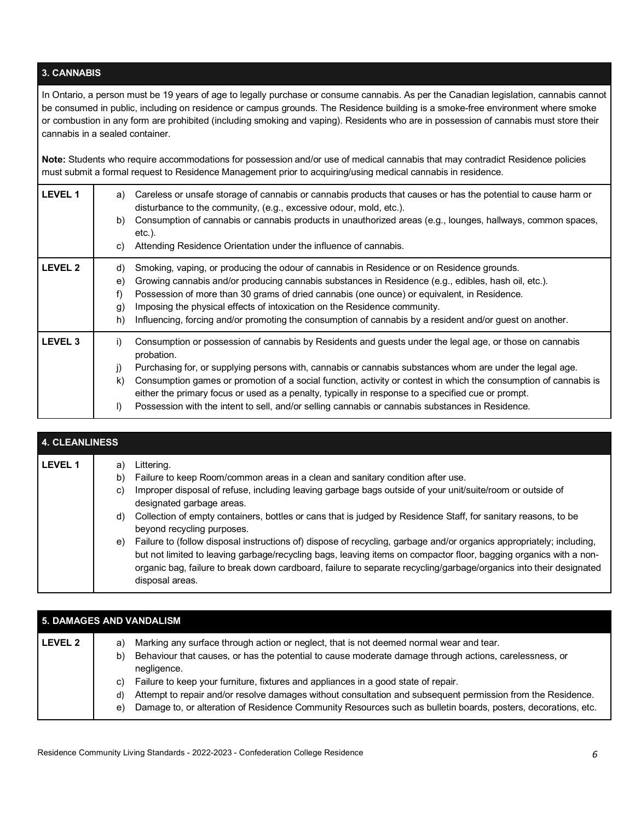# **3. CANNABIS**

 In Ontario, a person must be 19 years of age to legally purchase or consume cannabis. As per the Canadian legislation, cannabis cannot be consumed in public, including on residence or campus grounds. The Residence building is a smoke-free environment where smoke or combustion in any form are prohibited (including smoking and vaping). Residents who are in possession of cannabis must store their cannabis in a sealed container.

 **Note:** Students who require accommodations for possession and/or use of medical cannabis that may contradict Residence policies must submit a formal request to Residence Management prior to acquiring/using medical cannabis in residence.

| <b>LEVEL 1</b>     | Careless or unsafe storage of cannabis or cannabis products that causes or has the potential to cause harm or<br>a)<br>disturbance to the community, (e.g., excessive odour, mold, etc.).<br>Consumption of cannabis or cannabis products in unauthorized areas (e.g., lounges, hallways, common spaces,<br>b)<br>etc.).<br>Attending Residence Orientation under the influence of cannabis.<br>C)                                                                                                                                                                                      |
|--------------------|-----------------------------------------------------------------------------------------------------------------------------------------------------------------------------------------------------------------------------------------------------------------------------------------------------------------------------------------------------------------------------------------------------------------------------------------------------------------------------------------------------------------------------------------------------------------------------------------|
| <b>LEVEL 2</b>     | Smoking, vaping, or producing the odour of cannabis in Residence or on Residence grounds.<br>d)<br>Growing cannabis and/or producing cannabis substances in Residence (e.g., edibles, hash oil, etc.).<br>e)<br>Possession of more than 30 grams of dried cannabis (one ounce) or equivalent, in Residence.<br>f)<br>Imposing the physical effects of intoxication on the Residence community.<br>g)<br>Influencing, forcing and/or promoting the consumption of cannabis by a resident and/or guest on another.<br>h)                                                                  |
| LEVEL <sub>3</sub> | Consumption or possession of cannabis by Residents and guests under the legal age, or those on cannabis<br>i)<br>probation.<br>Purchasing for, or supplying persons with, cannabis or cannabis substances whom are under the legal age.<br>j)<br>Consumption games or promotion of a social function, activity or contest in which the consumption of cannabis is<br>k)<br>either the primary focus or used as a penalty, typically in response to a specified cue or prompt.<br>Possession with the intent to sell, and/or selling cannabis or cannabis substances in Residence.<br>I) |

| <b>4. CLEANLINESS</b> |                            |                                                                                                                                                                                                                                                                                                                                                                                                                                                                                                                                                                                                                                     |  |
|-----------------------|----------------------------|-------------------------------------------------------------------------------------------------------------------------------------------------------------------------------------------------------------------------------------------------------------------------------------------------------------------------------------------------------------------------------------------------------------------------------------------------------------------------------------------------------------------------------------------------------------------------------------------------------------------------------------|--|
| <b>LEVEL 1</b>        | a)<br>b)<br>C)<br>d)<br>e) | Littering.<br>Failure to keep Room/common areas in a clean and sanitary condition after use.<br>Improper disposal of refuse, including leaving garbage bags outside of your unit/suite/room or outside of<br>designated garbage areas.<br>Collection of empty containers, bottles or cans that is judged by Residence Staff, for sanitary reasons, to be<br>beyond recycling purposes.<br>Failure to (follow disposal instructions of) dispose of recycling, garbage and/or organics appropriately; including,<br>but not limited to leaving garbage/recycling bags, leaving items on compactor floor, bagging organics with a non- |  |
|                       |                            | organic bag, failure to break down cardboard, failure to separate recycling/garbage/organics into their designated<br>disposal areas.                                                                                                                                                                                                                                                                                                                                                                                                                                                                                               |  |

| <b>5. DAMAGES AND VANDALISM</b> |                                                                                                                                                                                                                                                                                                                                                                                                                                                                                                                                                                      |  |  |
|---------------------------------|----------------------------------------------------------------------------------------------------------------------------------------------------------------------------------------------------------------------------------------------------------------------------------------------------------------------------------------------------------------------------------------------------------------------------------------------------------------------------------------------------------------------------------------------------------------------|--|--|
| LEVEL 2                         | Marking any surface through action or neglect, that is not deemed normal wear and tear.<br>a)<br>Behaviour that causes, or has the potential to cause moderate damage through actions, carelessness, or<br>b)<br>negligence.<br>Failure to keep your furniture, fixtures and appliances in a good state of repair.<br>C)<br>Attempt to repair and/or resolve damages without consultation and subsequent permission from the Residence.<br>d)<br>Damage to, or alteration of Residence Community Resources such as bulletin boards, posters, decorations, etc.<br>e) |  |  |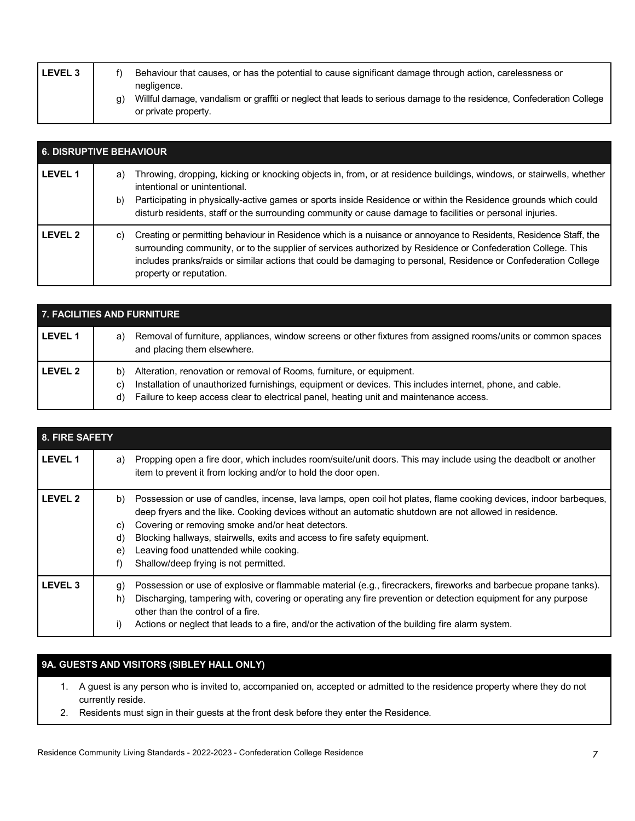| <b>LEVEL 3</b> |    | Behaviour that causes, or has the potential to cause significant damage through action, carelessness or                                                      |
|----------------|----|--------------------------------------------------------------------------------------------------------------------------------------------------------------|
|                | q) | negligence.<br>Willful damage, vandalism or graffiti or neglect that leads to serious damage to the residence, Confederation College<br>or private property. |

| <b>6. DISRUPTIVE BEHAVIOUR</b> |                                                                                                                                                                                                                                                                                                                                                                                                   |  |
|--------------------------------|---------------------------------------------------------------------------------------------------------------------------------------------------------------------------------------------------------------------------------------------------------------------------------------------------------------------------------------------------------------------------------------------------|--|
| <b>LEVEL 1</b>                 | Throwing, dropping, kicking or knocking objects in, from, or at residence buildings, windows, or stairwells, whether<br>a)<br>intentional or unintentional.<br>Participating in physically-active games or sports inside Residence or within the Residence grounds which could<br>b)<br>disturb residents, staff or the surrounding community or cause damage to facilities or personal injuries. |  |
| <b>LEVEL 2</b>                 | Creating or permitting behaviour in Residence which is a nuisance or annoyance to Residents, Residence Staff, the<br>C)<br>surrounding community, or to the supplier of services authorized by Residence or Confederation College. This<br>includes pranks/raids or similar actions that could be damaging to personal, Residence or Confederation College<br>property or reputation.             |  |

| <b>7. FACILITIES AND FURNITURE</b> |                                                                                                                                                                                                                                                                                               |  |  |
|------------------------------------|-----------------------------------------------------------------------------------------------------------------------------------------------------------------------------------------------------------------------------------------------------------------------------------------------|--|--|
| <b>LEVEL 1</b>                     | Removal of furniture, appliances, window screens or other fixtures from assigned rooms/units or common spaces<br>a)<br>and placing them elsewhere.                                                                                                                                            |  |  |
| <b>LEVEL 2</b>                     | Alteration, renovation or removal of Rooms, furniture, or equipment.<br>b)<br>Installation of unauthorized furnishings, equipment or devices. This includes internet, phone, and cable.<br>C)<br>Failure to keep access clear to electrical panel, heating unit and maintenance access.<br>d) |  |  |

| 8. FIRE SAFETY |                            |                                                                                                                                                                                                                                                                                                                                                                                                                                                 |
|----------------|----------------------------|-------------------------------------------------------------------------------------------------------------------------------------------------------------------------------------------------------------------------------------------------------------------------------------------------------------------------------------------------------------------------------------------------------------------------------------------------|
| <b>LEVEL 1</b> | a)                         | Propping open a fire door, which includes room/suite/unit doors. This may include using the deadbolt or another<br>item to prevent it from locking and/or to hold the door open.                                                                                                                                                                                                                                                                |
| <b>LEVEL 2</b> | b)<br>C)<br>d)<br>e)<br>f) | Possession or use of candles, incense, lava lamps, open coil hot plates, flame cooking devices, indoor barbeques,<br>deep fryers and the like. Cooking devices without an automatic shutdown are not allowed in residence.<br>Covering or removing smoke and/or heat detectors.<br>Blocking hallways, stairwells, exits and access to fire safety equipment.<br>Leaving food unattended while cooking.<br>Shallow/deep frying is not permitted. |
| <b>LEVEL 3</b> | g)<br>h)<br>i)             | Possession or use of explosive or flammable material (e.g., firecrackers, fireworks and barbecue propane tanks).<br>Discharging, tampering with, covering or operating any fire prevention or detection equipment for any purpose<br>other than the control of a fire.<br>Actions or neglect that leads to a fire, and/or the activation of the building fire alarm system.                                                                     |

# **9A. GUESTS AND VISITORS (SIBLEY HALL ONLY)**

- 1. A guest is any person who is invited to, accompanied on, accepted or admitted to the residence property where they do not currently reside.
- 2. Residents must sign in their guests at the front desk before they enter the Residence.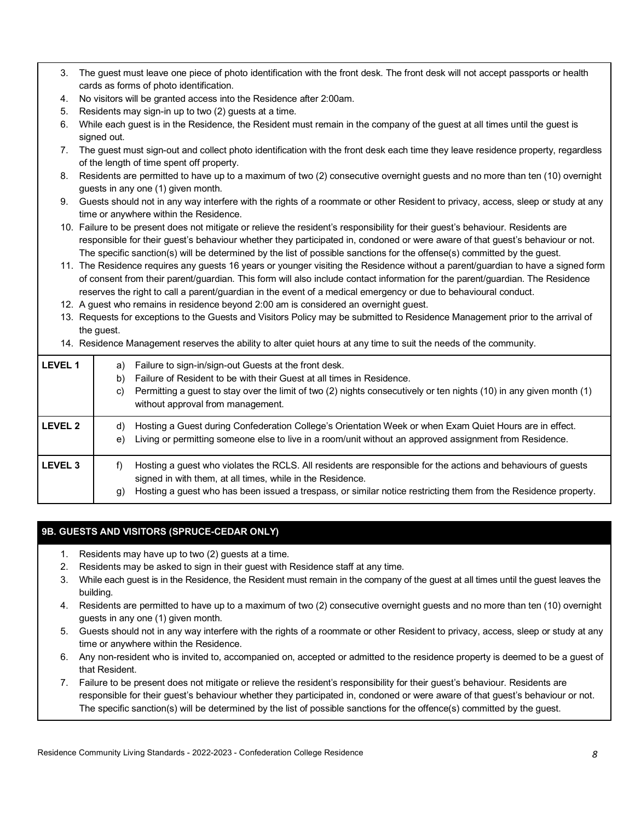| 3.                 |                                                                                                                                | The guest must leave one piece of photo identification with the front desk. The front desk will not accept passports or health<br>cards as forms of photo identification. |  |
|--------------------|--------------------------------------------------------------------------------------------------------------------------------|---------------------------------------------------------------------------------------------------------------------------------------------------------------------------|--|
| 4.                 |                                                                                                                                | No visitors will be granted access into the Residence after 2:00am.                                                                                                       |  |
| 5.                 |                                                                                                                                | Residents may sign-in up to two (2) guests at a time.                                                                                                                     |  |
| 6.                 |                                                                                                                                | While each guest is in the Residence, the Resident must remain in the company of the guest at all times until the guest is                                                |  |
|                    | signed out.                                                                                                                    |                                                                                                                                                                           |  |
| 7.                 |                                                                                                                                | The guest must sign-out and collect photo identification with the front desk each time they leave residence property, regardless                                          |  |
|                    |                                                                                                                                | of the length of time spent off property.                                                                                                                                 |  |
| 8.                 |                                                                                                                                | Residents are permitted to have up to a maximum of two (2) consecutive overnight guests and no more than ten (10) overnight                                               |  |
|                    |                                                                                                                                | guests in any one (1) given month.                                                                                                                                        |  |
| 9.                 |                                                                                                                                | Guests should not in any way interfere with the rights of a roommate or other Resident to privacy, access, sleep or study at any                                          |  |
|                    |                                                                                                                                | time or anywhere within the Residence.                                                                                                                                    |  |
|                    |                                                                                                                                | 10. Failure to be present does not mitigate or relieve the resident's responsibility for their guest's behaviour. Residents are                                           |  |
|                    |                                                                                                                                | responsible for their guest's behaviour whether they participated in, condoned or were aware of that guest's behaviour or not.                                            |  |
|                    |                                                                                                                                | The specific sanction(s) will be determined by the list of possible sanctions for the offense(s) committed by the guest.                                                  |  |
|                    |                                                                                                                                | 11. The Residence requires any guests 16 years or younger visiting the Residence without a parent/guardian to have a signed form                                          |  |
|                    |                                                                                                                                | of consent from their parent/guardian. This form will also include contact information for the parent/guardian. The Residence                                             |  |
|                    |                                                                                                                                |                                                                                                                                                                           |  |
|                    | reserves the right to call a parent/guardian in the event of a medical emergency or due to behavioural conduct.                |                                                                                                                                                                           |  |
|                    |                                                                                                                                | 12. A guest who remains in residence beyond 2:00 am is considered an overnight guest.                                                                                     |  |
|                    | 13. Requests for exceptions to the Guests and Visitors Policy may be submitted to Residence Management prior to the arrival of |                                                                                                                                                                           |  |
|                    | the guest.                                                                                                                     |                                                                                                                                                                           |  |
|                    |                                                                                                                                | 14. Residence Management reserves the ability to alter quiet hours at any time to suit the needs of the community.                                                        |  |
| <b>LEVEL 1</b>     | a)                                                                                                                             | Failure to sign-in/sign-out Guests at the front desk.                                                                                                                     |  |
|                    | b)                                                                                                                             | Failure of Resident to be with their Guest at all times in Residence.                                                                                                     |  |
|                    | C)                                                                                                                             | Permitting a guest to stay over the limit of two (2) nights consecutively or ten nights (10) in any given month (1)                                                       |  |
|                    |                                                                                                                                | without approval from management.                                                                                                                                         |  |
|                    |                                                                                                                                |                                                                                                                                                                           |  |
| <b>LEVEL 2</b>     | d)                                                                                                                             | Hosting a Guest during Confederation College's Orientation Week or when Exam Quiet Hours are in effect.                                                                   |  |
|                    | e)                                                                                                                             | Living or permitting someone else to live in a room/unit without an approved assignment from Residence.                                                                   |  |
|                    |                                                                                                                                |                                                                                                                                                                           |  |
| LEVEL <sub>3</sub> | f)                                                                                                                             | Hosting a guest who violates the RCLS. All residents are responsible for the actions and behaviours of guests                                                             |  |
|                    |                                                                                                                                | signed in with them, at all times, while in the Residence.                                                                                                                |  |
|                    | g)                                                                                                                             | Hosting a guest who has been issued a trespass, or similar notice restricting them from the Residence property.                                                           |  |

# **9B. GUESTS AND VISITORS (SPRUCE-CEDAR ONLY)**

- 1. Residents may have up to two (2) guests at a time.
- 2. Residents may be asked to sign in their guest with Residence staff at any time.
- 3. While each guest is in the Residence, the Resident must remain in the company of the guest at all times until the guest leaves the building.
- 4. Residents are permitted to have up to a maximum of two (2) consecutive overnight guests and no more than ten (10) overnight guests in any one (1) given month.
- 5. Guests should not in any way interfere with the rights of a roommate or other Resident to privacy, access, sleep or study at any time or anywhere within the Residence.
- 6. Any non-resident who is invited to, accompanied on, accepted or admitted to the residence property is deemed to be a guest of that Resident.
- 7. Failure to be present does not mitigate or relieve the resident's responsibility for their guest's behaviour. Residents are responsible for their guest's behaviour whether they participated in, condoned or were aware of that guest's behaviour or not. The specific sanction(s) will be determined by the list of possible sanctions for the offence(s) committed by the guest.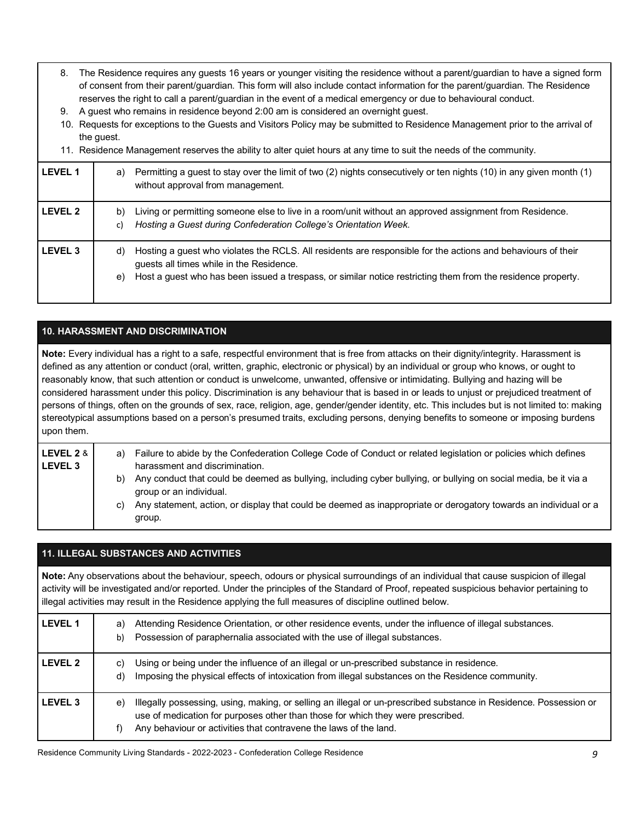- 8. The Residence requires any guests 16 years or younger visiting the residence without a parent/guardian to have a signed form of consent from their parent/guardian. This form will also include contact information for the parent/guardian. The Residence reserves the right to call a parent/guardian in the event of a medical emergency or due to behavioural conduct.
- 9. A guest who remains in residence beyond 2:00 am is considered an overnight guest.
- 10. Requests for exceptions to the Guests and Visitors Policy may be submitted to Residence Management prior to the arrival of the guest.

|                | 11. Residence Management reserves the ability to alter quiet hours at any time to suit the needs of the community.                                                                                                                                                                   |  |
|----------------|--------------------------------------------------------------------------------------------------------------------------------------------------------------------------------------------------------------------------------------------------------------------------------------|--|
| <b>LEVEL 1</b> | Permitting a guest to stay over the limit of two (2) nights consecutively or ten nights (10) in any given month (1)<br>a)<br>without approval from management.                                                                                                                       |  |
| <b>LEVEL 2</b> | Living or permitting someone else to live in a room/unit without an approved assignment from Residence.<br>b)<br>Hosting a Guest during Confederation College's Orientation Week.<br>C)                                                                                              |  |
| <b>LEVEL 3</b> | Hosting a guest who violates the RCLS. All residents are responsible for the actions and behaviours of their<br>d)<br>guests all times while in the Residence.<br>Host a guest who has been issued a trespass, or similar notice restricting them from the residence property.<br>e) |  |

# **10. HARASSMENT AND DISCRIMINATION**

 **Note:** Every individual has a right to a safe, respectful environment that is free from attacks on their dignity/integrity. Harassment is defined as any attention or conduct (oral, written, graphic, electronic or physical) by an individual or group who knows, or ought to reasonably know, that such attention or conduct is unwelcome, unwanted, offensive or intimidating. Bullying and hazing will be considered harassment under this policy. Discrimination is any behaviour that is based in or leads to unjust or prejudiced treatment of persons of things, often on the grounds of sex, race, religion, age, gender/gender identity, etc. This includes but is not limited to: making stereotypical assumptions based on a person's presumed traits, excluding persons, denying benefits to someone or imposing burdens upon them.

| LEVEL 2 & I<br><b>LEVEL 3</b> | a) | Failure to abide by the Confederation College Code of Conduct or related legislation or policies which defines<br>harassment and discrimination. |
|-------------------------------|----|--------------------------------------------------------------------------------------------------------------------------------------------------|
|                               | b) | Any conduct that could be deemed as bullying, including cyber bullying, or bullying on social media, be it via a<br>group or an individual.      |
|                               | C) | Any statement, action, or display that could be deemed as inappropriate or derogatory towards an individual or a<br>group.                       |

#### **11. ILLEGAL SUBSTANCES AND ACTIVITIES**

 **Note:** Any observations about the behaviour, speech, odours or physical surroundings of an individual that cause suspicion of illegal activity will be investigated and/or reported. Under the principles of the Standard of Proof, repeated suspicious behavior pertaining to illegal activities may result in the Residence applying the full measures of discipline outlined below.

| l LEVEL 1 | Attending Residence Orientation, or other residence events, under the influence of illegal substances.<br>a)<br>Possession of paraphernalia associated with the use of illegal substances.<br>b)                                                                                |
|-----------|---------------------------------------------------------------------------------------------------------------------------------------------------------------------------------------------------------------------------------------------------------------------------------|
| l LEVEL 2 | Using or being under the influence of an illegal or un-prescribed substance in residence.<br>C)<br>Imposing the physical effects of intoxication from illegal substances on the Residence community.<br>d)                                                                      |
| l LEVEL 3 | Illegally possessing, using, making, or selling an illegal or un-prescribed substance in Residence. Possession or<br>e)<br>use of medication for purposes other than those for which they were prescribed.<br>Any behaviour or activities that contravene the laws of the land. |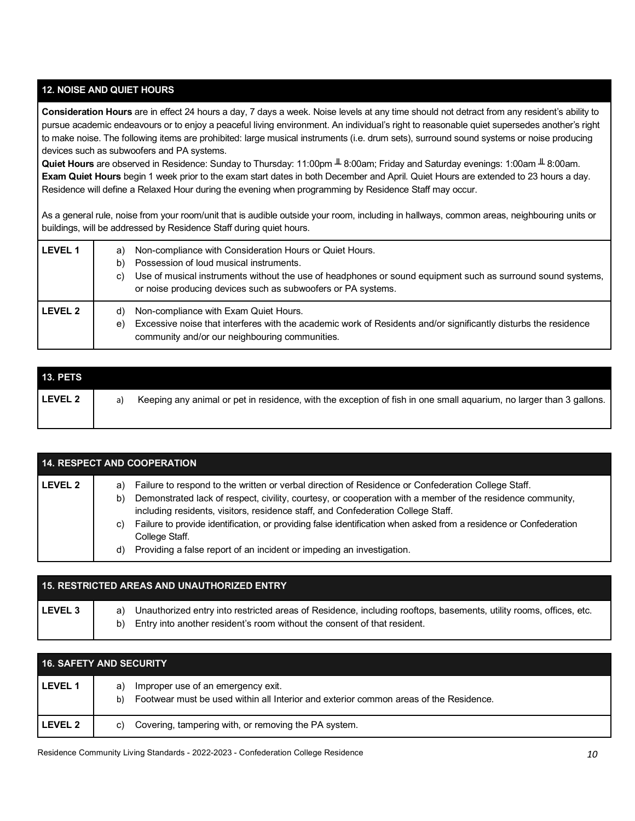# **12. NOISE AND QUIET HOURS**

 **Consideration Hours** are in effect 24 hours a day, 7 days a week. Noise levels at any time should not detract from any resident's ability to pursue academic endeavours or to enjoy a peaceful living environment. An individual's right to reasonable quiet supersedes another's right to make noise. The following items are prohibited: large musical instruments (i.e. drum sets), surround sound systems or noise producing devices such as subwoofers and PA systems.

 **Quiet Hours** are observed in Residence: Sunday to Thursday: 11:00pm ╨ 8:00am; Friday and Saturday evenings: 1:00am ╨ 8:00am.  **Exam Quiet Hours** begin 1 week prior to the exam start dates in both December and April. Quiet Hours are extended to 23 hours a day. Residence will define a Relaxed Hour during the evening when programming by Residence Staff may occur.

 As a general rule, noise from your room/unit that is audible outside your room, including in hallways, common areas, neighbouring units or buildings, will be addressed by Residence Staff during quiet hours.

| <b>LEVEL 1</b> | Non-compliance with Consideration Hours or Quiet Hours.<br>a)<br>Possession of loud musical instruments.<br>b)<br>Use of musical instruments without the use of headphones or sound equipment such as surround sound systems,<br>C)<br>or noise producing devices such as subwoofers or PA systems. |
|----------------|-----------------------------------------------------------------------------------------------------------------------------------------------------------------------------------------------------------------------------------------------------------------------------------------------------|
| <b>LEVEL 2</b> | Non-compliance with Exam Quiet Hours.<br>d)<br>Excessive noise that interferes with the academic work of Residents and/or significantly disturbs the residence<br>e)<br>community and/or our neighbouring communities.                                                                              |

| <b>13. PETS</b> |    |                                                                                                                     |
|-----------------|----|---------------------------------------------------------------------------------------------------------------------|
| LEVEL 2         | a) | Keeping any animal or pet in residence, with the exception of fish in one small aquarium, no larger than 3 gallons. |

| <b>14. RESPECT AND COOPERATION</b> |                                                                                                                                                                                                                                                                                                                                                                                                                                                                                                                                              |  |
|------------------------------------|----------------------------------------------------------------------------------------------------------------------------------------------------------------------------------------------------------------------------------------------------------------------------------------------------------------------------------------------------------------------------------------------------------------------------------------------------------------------------------------------------------------------------------------------|--|
| LEVEL 2                            | Failure to respond to the written or verbal direction of Residence or Confederation College Staff.<br>a)<br>Demonstrated lack of respect, civility, courtesy, or cooperation with a member of the residence community,<br>b)<br>including residents, visitors, residence staff, and Confederation College Staff.<br>Failure to provide identification, or providing false identification when asked from a residence or Confederation<br>C)<br>College Staff.<br>Providing a false report of an incident or impeding an investigation.<br>d) |  |

|           | <b>15. RESTRICTED AREAS AND UNAUTHORIZED ENTRY</b>                                                                                                                                                   |  |
|-----------|------------------------------------------------------------------------------------------------------------------------------------------------------------------------------------------------------|--|
| l LEVEL 3 | a) Unauthorized entry into restricted areas of Residence, including rooftops, basements, utility rooms, offices, etc.<br>b) Entry into another resident's room without the consent of that resident. |  |

| <b>16. SAFETY AND SECURITY</b> |                                                                                                                                         |  |
|--------------------------------|-----------------------------------------------------------------------------------------------------------------------------------------|--|
| <b>LEVEL 1</b>                 | Improper use of an emergency exit.<br>a)<br>Footwear must be used within all Interior and exterior common areas of the Residence.<br>b) |  |
| <b>LEVEL 2</b>                 | Covering, tampering with, or removing the PA system.<br>C)                                                                              |  |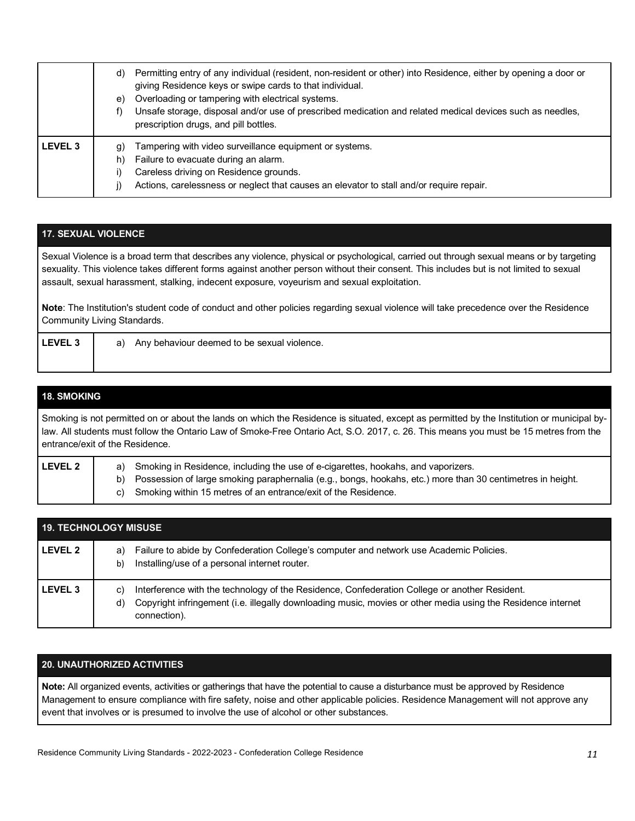|                | Permitting entry of any individual (resident, non-resident or other) into Residence, either by opening a door or<br>d)<br>giving Residence keys or swipe cards to that individual.<br>Overloading or tampering with electrical systems.<br>e)<br>Unsafe storage, disposal and/or use of prescribed medication and related medical devices such as needles,<br>prescription drugs, and pill bottles. |
|----------------|-----------------------------------------------------------------------------------------------------------------------------------------------------------------------------------------------------------------------------------------------------------------------------------------------------------------------------------------------------------------------------------------------------|
| <b>LEVEL 3</b> | Tampering with video surveillance equipment or systems.<br>g)<br>Failure to evacuate during an alarm.<br>h)<br>Careless driving on Residence grounds.<br>Actions, carelessness or neglect that causes an elevator to stall and/or require repair.                                                                                                                                                   |

# **17. SEXUAL VIOLENCE**

Sexual Violence is a broad term that describes any violence, physical or psychological, carried out through sexual means or by targeting sexuality. This violence takes different forms against another person without their consent. This includes but is not limited to sexual assault, sexual harassment, stalking, indecent exposure, voyeurism and sexual exploitation.

**Note**: The Institution's student code of conduct and other policies regarding sexual violence will take precedence over the Residence Community Living Standards.

**LEVEL 3** | a) Any behaviour deemed to be sexual violence.

# **18. SMOKING**

Smoking is not permitted on or about the lands on which the Residence is situated, except as permitted by the Institution or municipal by law. All students must follow the Ontario Law of Smoke-Free Ontario Act, S.O. 2017, c. 26. This means you must be 15 metres from the entrance/exit of the Residence.

#### LEVEL 2 **a**) Smoking in Residence, including the use of e-cigarettes, hookahs, and vaporizers. b) Possession of large smoking paraphernalia (e.g., bongs, hookahs, etc.) more than 30 centimetres in height. Smoking within 15 metres of an entrance/exit of the Residence. a) c)

|                    | <b>19. TECHNOLOGY MISUSE</b>                                                                                                                                                                                                                        |  |  |
|--------------------|-----------------------------------------------------------------------------------------------------------------------------------------------------------------------------------------------------------------------------------------------------|--|--|
| LEVEL 2            | Failure to abide by Confederation College's computer and network use Academic Policies.<br>a)<br>Installing/use of a personal internet router.<br>b)                                                                                                |  |  |
| LEVEL <sub>3</sub> | Interference with the technology of the Residence, Confederation College or another Resident.<br>$\mathbf{C}$<br>Copyright infringement (i.e. illegally downloading music, movies or other media using the Residence internet<br>d)<br>connection). |  |  |

# **20. UNAUTHORIZED ACTIVITIES**

 **Note:** All organized events, activities or gatherings that have the potential to cause a disturbance must be approved by Residence Management to ensure compliance with fire safety, noise and other applicable policies. Residence Management will not approve any event that involves or is presumed to involve the use of alcohol or other substances.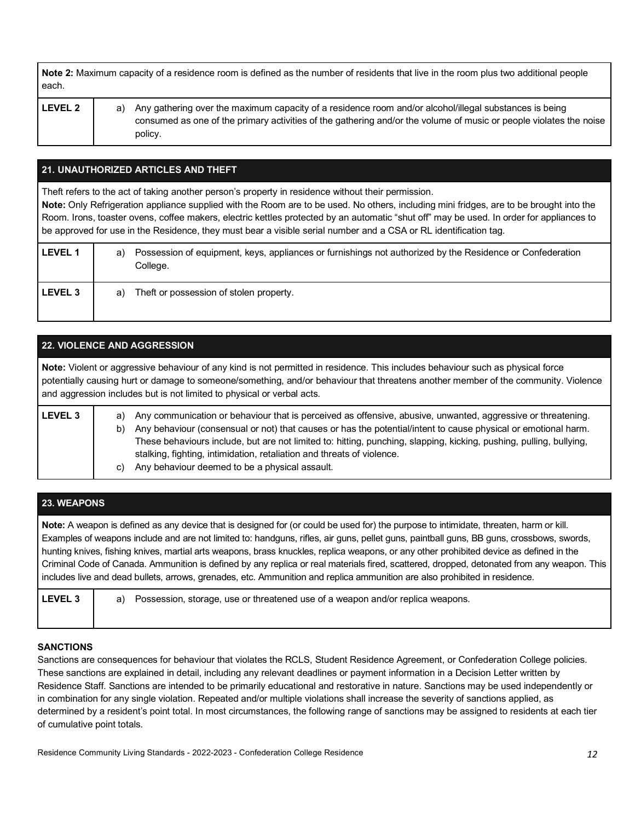| Note 2: Maximum capacity of a residence room is defined as the number of residents that live in the room plus two additional people |
|-------------------------------------------------------------------------------------------------------------------------------------|
| each.                                                                                                                               |

| v<br>-<br>Ξ, | ź |
|--------------|---|
|--------------|---|

**LEVEL 2** a) Any gathering over the maximum capacity of a residence room and/or alcohol/illegal substances is being consumed as one of the primary activities of the gathering and/or the volume of music or people violates the noise policy.

# **21. UNAUTHORIZED ARTICLES AND THEFT**

Theft refers to the act of taking another person's property in residence without their permission.

 **Note:** Only Refrigeration appliance supplied with the Room are to be used. No others, including mini fridges, are to be brought into the Room. Irons, toaster ovens, coffee makers, electric kettles protected by an automatic "shut off" may be used. In order for appliances to be approved for use in the Residence, they must bear a visible serial number and a CSA or RL identification tag.

| <b>LEVEL 1</b> | Possession of equipment, keys, appliances or furnishings not authorized by the Residence or Confederation<br>a)<br>College. |
|----------------|-----------------------------------------------------------------------------------------------------------------------------|
| <b>LEVEL 3</b> | Theft or possession of stolen property.<br>a)                                                                               |

| <b>22. VIOLENCE AND AGGRESSION</b>                                                                                                                                                                                                                                                                                                              |                                                                                                                                                                                                                                                                                                                                                                                                                                                                                                     |  |  |  |
|-------------------------------------------------------------------------------------------------------------------------------------------------------------------------------------------------------------------------------------------------------------------------------------------------------------------------------------------------|-----------------------------------------------------------------------------------------------------------------------------------------------------------------------------------------------------------------------------------------------------------------------------------------------------------------------------------------------------------------------------------------------------------------------------------------------------------------------------------------------------|--|--|--|
| Note: Violent or aggressive behaviour of any kind is not permitted in residence. This includes behaviour such as physical force<br>potentially causing hurt or damage to someone/something, and/or behaviour that threatens another member of the community. Violence<br>and aggression includes but is not limited to physical or verbal acts. |                                                                                                                                                                                                                                                                                                                                                                                                                                                                                                     |  |  |  |
| LEVEL <sub>3</sub>                                                                                                                                                                                                                                                                                                                              | Any communication or behaviour that is perceived as offensive, abusive, unwanted, aggressive or threatening.<br>a)<br>Any behaviour (consensual or not) that causes or has the potential/intent to cause physical or emotional harm.<br>b)<br>These behaviours include, but are not limited to: hitting, punching, slapping, kicking, pushing, pulling, bullying,<br>stalking, fighting, intimidation, retaliation and threats of violence.<br>Any behaviour deemed to be a physical assault.<br>C) |  |  |  |

| <b>23. WEAPONS</b>                                                                                                                                                                                                                                                                                                                                                                                                                                                                                                                                                                                                                                                                                        |                                                                                      |  |  |
|-----------------------------------------------------------------------------------------------------------------------------------------------------------------------------------------------------------------------------------------------------------------------------------------------------------------------------------------------------------------------------------------------------------------------------------------------------------------------------------------------------------------------------------------------------------------------------------------------------------------------------------------------------------------------------------------------------------|--------------------------------------------------------------------------------------|--|--|
| Note: A weapon is defined as any device that is designed for (or could be used for) the purpose to intimidate, threaten, harm or kill.<br>Examples of weapons include and are not limited to: handguns, rifles, air guns, pellet guns, paintball guns, BB guns, crossbows, swords,<br>hunting knives, fishing knives, martial arts weapons, brass knuckles, replica weapons, or any other prohibited device as defined in the<br>Criminal Code of Canada. Ammunition is defined by any replica or real materials fired, scattered, dropped, detonated from any weapon. This<br>includes live and dead bullets, arrows, grenades, etc. Ammunition and replica ammunition are also prohibited in residence. |                                                                                      |  |  |
| LEVEL <sub>3</sub>                                                                                                                                                                                                                                                                                                                                                                                                                                                                                                                                                                                                                                                                                        | Possession, storage, use or threatened use of a weapon and/or replica weapons.<br>a) |  |  |

# **SANCTIONS**

 Sanctions are consequences for behaviour that violates the RCLS, Student Residence Agreement, or Confederation College policies. These sanctions are explained in detail, including any relevant deadlines or payment information in a Decision Letter written by Residence Staff. Sanctions are intended to be primarily educational and restorative in nature. Sanctions may be used independently or in combination for any single violation. Repeated and/or multiple violations shall increase the severity of sanctions applied, as determined by a resident's point total. In most circumstances, the following range of sanctions may be assigned to residents at each tier of cumulative point totals.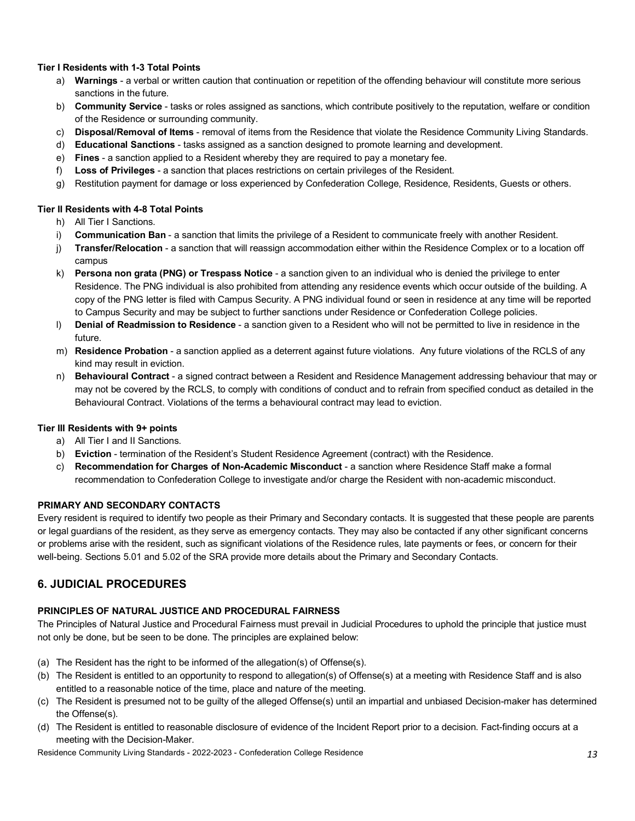#### **Tier I Residents with 1-3 Total Points**

- a) **Warnings**  a verbal or written caution that continuation or repetition of the offending behaviour will constitute more serious sanctions in the future.
- b) **Community Service**  tasks or roles assigned as sanctions, which contribute positively to the reputation, welfare or condition of the Residence or surrounding community.
- c) **Disposal/Removal of Items**  removal of items from the Residence that violate the Residence Community Living Standards.
- d) **Educational Sanctions**  tasks assigned as a sanction designed to promote learning and development.
- e) **Fines**  a sanction applied to a Resident whereby they are required to pay a monetary fee.
- f) **Loss of Privileges**  a sanction that places restrictions on certain privileges of the Resident.
- g) Restitution payment for damage or loss experienced by Confederation College, Residence, Residents, Guests or others.

#### **Tier II Residents with 4-8 Total Points**

- h) All Tier I Sanctions.
- i) **Communication Ban**  a sanction that limits the privilege of a Resident to communicate freely with another Resident.
- j) **Transfer/Relocation**  a sanction that will reassign accommodation either within the Residence Complex or to a location off campus
- k) **Persona non grata (PNG) or Trespass Notice**  a sanction given to an individual who is denied the privilege to enter Residence. The PNG individual is also prohibited from attending any residence events which occur outside of the building. A copy of the PNG letter is filed with Campus Security. A PNG individual found or seen in residence at any time will be reported to Campus Security and may be subject to further sanctions under Residence or Confederation College policies.
- l) **Denial of Readmission to Residence**  a sanction given to a Resident who will not be permitted to live in residence in the future.
- m) **Residence Probation**  a sanction applied as a deterrent against future violations. Any future violations of the RCLS of any kind may result in eviction.
- n) **Behavioural Contract**  a signed contract between a Resident and Residence Management addressing behaviour that may or may not be covered by the RCLS, to comply with conditions of conduct and to refrain from specified conduct as detailed in the Behavioural Contract. Violations of the terms a behavioural contract may lead to eviction.

#### **Tier III Residents with 9+ points**

- a) All Tier I and II Sanctions.
- b) **Eviction**  termination of the Resident's Student Residence Agreement (contract) with the Residence.
- c) **Recommendation for Charges of Non-Academic Misconduct**  a sanction where Residence Staff make a formal recommendation to Confederation College to investigate and/or charge the Resident with non-academic misconduct.

#### **PRIMARY AND SECONDARY CONTACTS**

 Every resident is required to identify two people as their Primary and Secondary contacts. It is suggested that these people are parents or legal guardians of the resident, as they serve as emergency contacts. They may also be contacted if any other significant concerns or problems arise with the resident, such as significant violations of the Residence rules, late payments or fees, or concern for their well-being. Sections 5.01 and 5.02 of the SRA provide more details about the Primary and Secondary Contacts.

# **6. JUDICIAL PROCEDURES**

#### **PRINCIPLES OF NATURAL JUSTICE AND PROCEDURAL FAIRNESS**

 The Principles of Natural Justice and Procedural Fairness must prevail in Judicial Procedures to uphold the principle that justice must not only be done, but be seen to be done. The principles are explained below:

- (a) The Resident has the right to be informed of the allegation(s) of Offense(s).
- (b) The Resident is entitled to an opportunity to respond to allegation(s) of Offense(s) at a meeting with Residence Staff and is also entitled to a reasonable notice of the time, place and nature of the meeting.
- (c) The Resident is presumed not to be guilty of the alleged Offense(s) until an impartial and unbiased Decision-maker has determined the Offense(s).
- (d) The Resident is entitled to reasonable disclosure of evidence of the Incident Report prior to a decision. Fact-finding occurs at a meeting with the Decision-Maker.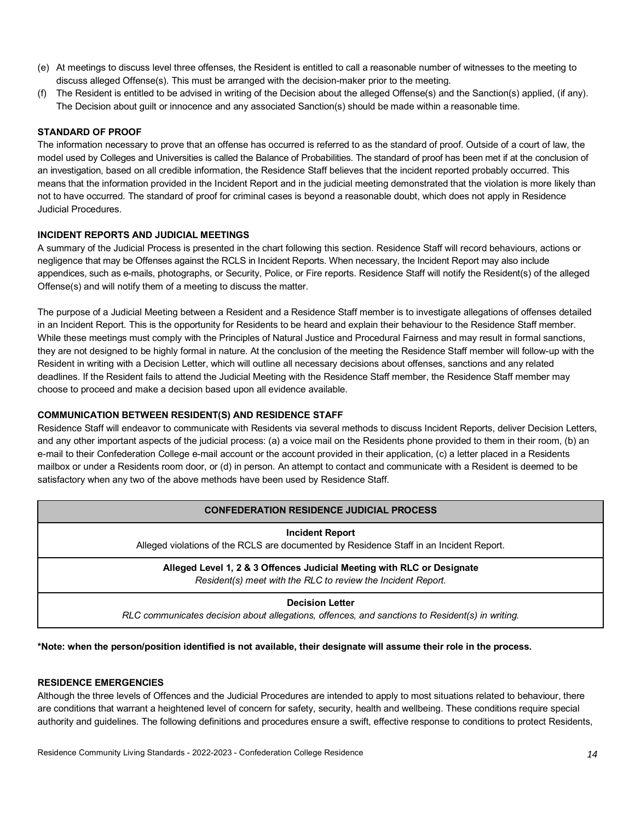- (e) At meetings to discuss level three offenses, the Resident is entitled to call a reasonable number of witnesses to the meeting to discuss alleged Offense(s). This must be arranged with the decision-maker prior to the meeting.
- (f) The Resident is entitled to be advised in writing of the Decision about the alleged Offense(s) and the Sanction(s) applied, (if any). The Decision about guilt or innocence and any associated Sanction(s) should be made within a reasonable time.

#### **STANDARD OF PROOF**

 The information necessary to prove that an offense has occurred is referred to as the standard of proof. Outside of a court of law, the model used by Colleges and Universities is called the Balance of Probabilities. The standard of proof has been met if at the conclusion of an investigation, based on all credible information, the Residence Staff believes that the incident reported probably occurred. This means that the information provided in the Incident Report and in the judicial meeting demonstrated that the violation is more likely than not to have occurred. The standard of proof for criminal cases is beyond a reasonable doubt, which does not apply in Residence Judicial Procedures.

#### **INCIDENT REPORTS AND JUDICIAL MEETINGS**

 A summary of the Judicial Process is presented in the chart following this section. Residence Staff will record behaviours, actions or negligence that may be Offenses against the RCLS in Incident Reports. When necessary, the Incident Report may also include appendices, such as e-mails, photographs, or Security, Police, or Fire reports. Residence Staff will notify the Resident(s) of the alleged Offense(s) and will notify them of a meeting to discuss the matter.

 The purpose of a Judicial Meeting between a Resident and a Residence Staff member is to investigate allegations of offenses detailed in an Incident Report. This is the opportunity for Residents to be heard and explain their behaviour to the Residence Staff member. While these meetings must comply with the Principles of Natural Justice and Procedural Fairness and may result in formal sanctions, they are not designed to be highly formal in nature. At the conclusion of the meeting the Residence Staff member will follow-up with the Resident in writing with a Decision Letter, which will outline all necessary decisions about offenses, sanctions and any related deadlines. If the Resident fails to attend the Judicial Meeting with the Residence Staff member, the Residence Staff member may choose to proceed and make a decision based upon all evidence available.

#### **COMMUNICATION BETWEEN RESIDENT(S) AND RESIDENCE STAFF**

 Residence Staff will endeavor to communicate with Residents via several methods to discuss Incident Reports, deliver Decision Letters, and any other important aspects of the judicial process: (a) a voice mail on the Residents phone provided to them in their room, (b) an e-mail to their Confederation College e-mail account or the account provided in their application, (c) a letter placed in a Residents mailbox or under a Residents room door, or (d) in person. An attempt to contact and communicate with a Resident is deemed to be satisfactory when any two of the above methods have been used by Residence Staff.

#### **CONFEDERATION RESIDENCE JUDICIAL PROCESS**

#### **Incident Report**

Alleged violations of the RCLS are documented by Residence Staff in an Incident Report.

#### **Alleged Level 1, 2 & 3 Offences Judicial Meeting with RLC or Designate**   *Resident(s) meet with the RLC to review the Incident Report.*

**Decision Letter** 

 *RLC communicates decision about allegations, offences, and sanctions to Resident(s) in writing.* 

#### **\*Note: when the person/position identified is not available, their designate will assume their role in the process.**

#### **RESIDENCE EMERGENCIES**

 Although the three levels of Offences and the Judicial Procedures are intended to apply to most situations related to behaviour, there are conditions that warrant a heightened level of concern for safety, security, health and wellbeing. These conditions require special authority and guidelines. The following definitions and procedures ensure a swift, effective response to conditions to protect Residents,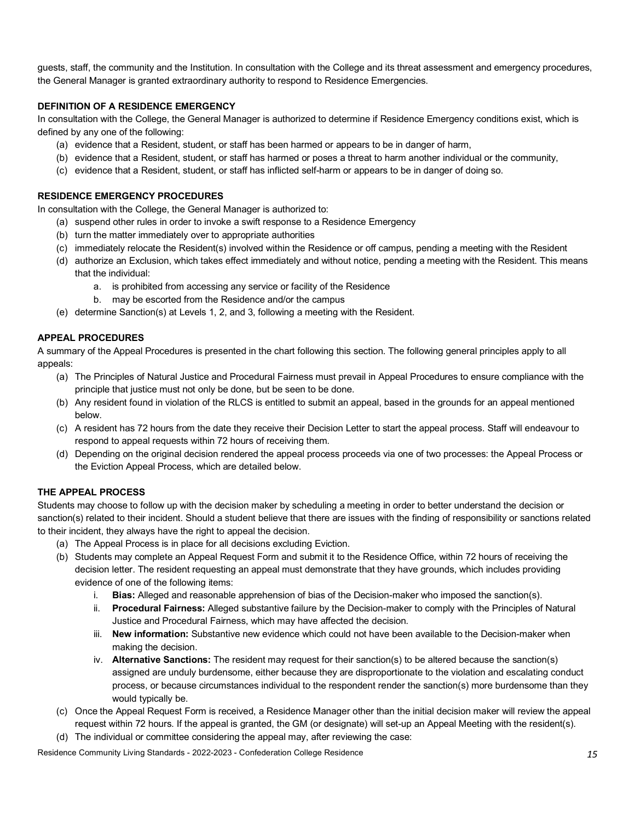guests, staff, the community and the Institution. In consultation with the College and its threat assessment and emergency procedures, the General Manager is granted extraordinary authority to respond to Residence Emergencies.

# **DEFINITION OF A RESIDENCE EMERGENCY**

 In consultation with the College, the General Manager is authorized to determine if Residence Emergency conditions exist, which is defined by any one of the following:

- (a) evidence that a Resident, student, or staff has been harmed or appears to be in danger of harm,
- (b) evidence that a Resident, student, or staff has harmed or poses a threat to harm another individual or the community,
- (c) evidence that a Resident, student, or staff has inflicted self-harm or appears to be in danger of doing so.

#### **RESIDENCE EMERGENCY PROCEDURES**

In consultation with the College, the General Manager is authorized to:

- (a) suspend other rules in order to invoke a swift response to a Residence Emergency
- (b) turn the matter immediately over to appropriate authorities
- (c) immediately relocate the Resident(s) involved within the Residence or off campus, pending a meeting with the Resident
- (d) authorize an Exclusion, which takes effect immediately and without notice, pending a meeting with the Resident. This means that the individual:
	- a. is prohibited from accessing any service or facility of the Residence
	- b. may be escorted from the Residence and/or the campus
- (e) determine Sanction(s) at Levels 1, 2, and 3, following a meeting with the Resident.

# **APPEAL PROCEDURES**

 A summary of the Appeal Procedures is presented in the chart following this section. The following general principles apply to all appeals:

- (a) The Principles of Natural Justice and Procedural Fairness must prevail in Appeal Procedures to ensure compliance with the principle that justice must not only be done, but be seen to be done.
- (b) Any resident found in violation of the RLCS is entitled to submit an appeal, based in the grounds for an appeal mentioned below.
- (c) A resident has 72 hours from the date they receive their Decision Letter to start the appeal process. Staff will endeavour to respond to appeal requests within 72 hours of receiving them.
- (d) Depending on the original decision rendered the appeal process proceeds via one of two processes: the Appeal Process or the Eviction Appeal Process, which are detailed below.

# **THE APPEAL PROCESS**

 Students may choose to follow up with the decision maker by scheduling a meeting in order to better understand the decision or sanction(s) related to their incident. Should a student believe that there are issues with the finding of responsibility or sanctions related to their incident, they always have the right to appeal the decision.

- (a) The Appeal Process is in place for all decisions excluding Eviction.
- (b) Students may complete an Appeal Request Form and submit it to the Residence Office, within 72 hours of receiving the decision letter. The resident requesting an appeal must demonstrate that they have grounds, which includes providing evidence of one of the following items:
	- i. **Bias:** Alleged and reasonable apprehension of bias of the Decision-maker who imposed the sanction(s).
	- ii. **Procedural Fairness:** Alleged substantive failure by the Decision-maker to comply with the Principles of Natural Justice and Procedural Fairness, which may have affected the decision.
	- iii. **New information:** Substantive new evidence which could not have been available to the Decision-maker when making the decision.
	- iv. **Alternative Sanctions:** The resident may request for their sanction(s) to be altered because the sanction(s) assigned are unduly burdensome, either because they are disproportionate to the violation and escalating conduct process, or because circumstances individual to the respondent render the sanction(s) more burdensome than they would typically be.
- (c) Once the Appeal Request Form is received, a Residence Manager other than the initial decision maker will review the appeal request within 72 hours. If the appeal is granted, the GM (or designate) will set-up an Appeal Meeting with the resident(s).
- (d) The individual or committee considering the appeal may, after reviewing the case: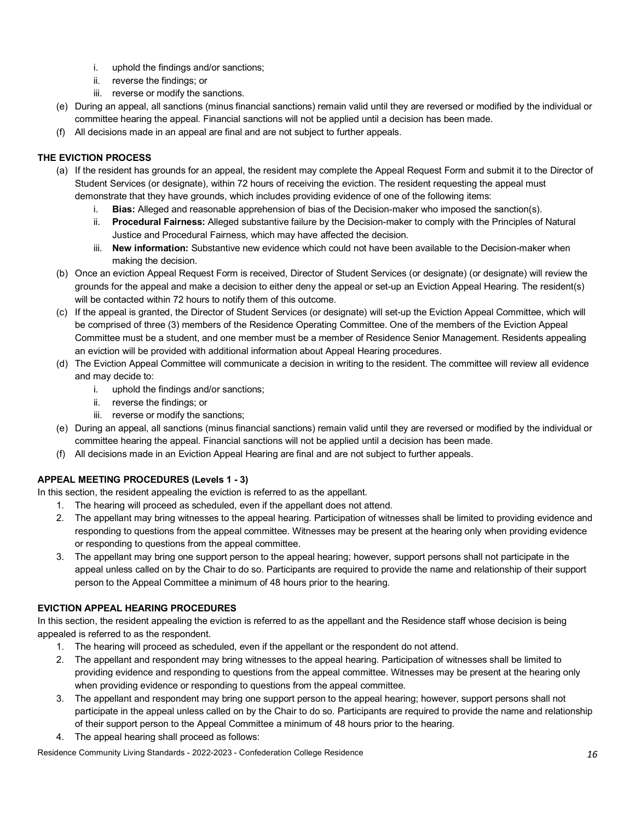- i. uphold the findings and/or sanctions;
- ii. reverse the findings; or
- iii. reverse or modify the sanctions.
- (e) During an appeal, all sanctions (minus financial sanctions) remain valid until they are reversed or modified by the individual or committee hearing the appeal. Financial sanctions will not be applied until a decision has been made.
- (f) All decisions made in an appeal are final and are not subject to further appeals.

# **THE EVICTION PROCESS**

- (a) If the resident has grounds for an appeal, the resident may complete the Appeal Request Form and submit it to the Director of Student Services (or designate), within 72 hours of receiving the eviction. The resident requesting the appeal must demonstrate that they have grounds, which includes providing evidence of one of the following items:
	- i. **Bias:** Alleged and reasonable apprehension of bias of the Decision-maker who imposed the sanction(s).
	- ii. **Procedural Fairness:** Alleged substantive failure by the Decision-maker to comply with the Principles of Natural Justice and Procedural Fairness, which may have affected the decision.
	- iii. **New information:** Substantive new evidence which could not have been available to the Decision-maker when making the decision.
- (b) Once an eviction Appeal Request Form is received, Director of Student Services (or designate) (or designate) will review the grounds for the appeal and make a decision to either deny the appeal or set-up an Eviction Appeal Hearing. The resident(s) will be contacted within 72 hours to notify them of this outcome.
- (c) If the appeal is granted, the Director of Student Services (or designate) will set-up the Eviction Appeal Committee, which will be comprised of three (3) members of the Residence Operating Committee. One of the members of the Eviction Appeal Committee must be a student, and one member must be a member of Residence Senior Management. Residents appealing an eviction will be provided with additional information about Appeal Hearing procedures.
- (d) The Eviction Appeal Committee will communicate a decision in writing to the resident. The committee will review all evidence and may decide to:
	- i. uphold the findings and/or sanctions;
	- ii. reverse the findings; or
	- iii. reverse or modify the sanctions;
- (e) During an appeal, all sanctions (minus financial sanctions) remain valid until they are reversed or modified by the individual or committee hearing the appeal. Financial sanctions will not be applied until a decision has been made.
- (f) All decisions made in an Eviction Appeal Hearing are final and are not subject to further appeals.

# **APPEAL MEETING PROCEDURES (Levels 1 - 3)**

In this section, the resident appealing the eviction is referred to as the appellant.

- 1. The hearing will proceed as scheduled, even if the appellant does not attend.
- 2. The appellant may bring witnesses to the appeal hearing. Participation of witnesses shall be limited to providing evidence and responding to questions from the appeal committee. Witnesses may be present at the hearing only when providing evidence or responding to questions from the appeal committee.
- 3. The appellant may bring one support person to the appeal hearing; however, support persons shall not participate in the appeal unless called on by the Chair to do so. Participants are required to provide the name and relationship of their support person to the Appeal Committee a minimum of 48 hours prior to the hearing.

#### **EVICTION APPEAL HEARING PROCEDURES**

 In this section, the resident appealing the eviction is referred to as the appellant and the Residence staff whose decision is being appealed is referred to as the respondent.

- 1. The hearing will proceed as scheduled, even if the appellant or the respondent do not attend.
- 2. The appellant and respondent may bring witnesses to the appeal hearing. Participation of witnesses shall be limited to providing evidence and responding to questions from the appeal committee. Witnesses may be present at the hearing only when providing evidence or responding to questions from the appeal committee.
- 3. The appellant and respondent may bring one support person to the appeal hearing; however, support persons shall not participate in the appeal unless called on by the Chair to do so. Participants are required to provide the name and relationship of their support person to the Appeal Committee a minimum of 48 hours prior to the hearing.
- 4. The appeal hearing shall proceed as follows: